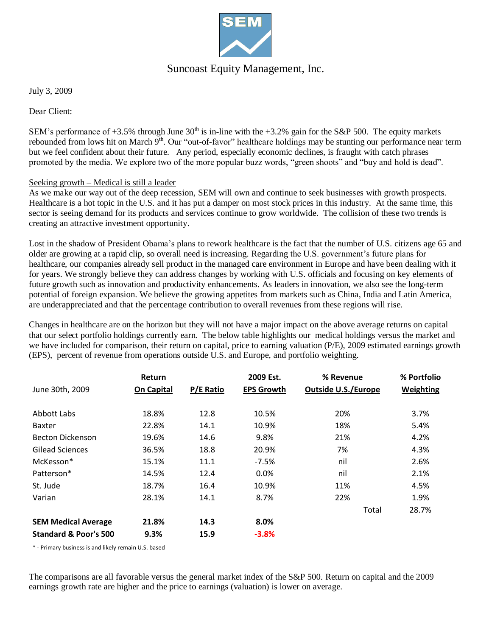

## Suncoast Equity Management, Inc.

July 3, 2009

Dear Client:

SEM's performance of  $+3.5\%$  through June 30<sup>th</sup> is in-line with the  $+3.2\%$  gain for the S&P 500. The equity markets rebounded from lows hit on March 9<sup>th</sup>. Our "out-of-favor" healthcare holdings may be stunting our performance near term but we feel confident about their future. Any period, especially economic declines, is fraught with catch phrases promoted by the media. We explore two of the more popular buzz words, "green shoots" and "buy and hold is dead".

#### Seeking growth – Medical is still a leader

As we make our way out of the deep recession, SEM will own and continue to seek businesses with growth prospects. Healthcare is a hot topic in the U.S. and it has put a damper on most stock prices in this industry. At the same time, this sector is seeing demand for its products and services continue to grow worldwide. The collision of these two trends is creating an attractive investment opportunity.

Lost in the shadow of President Obama's plans to rework healthcare is the fact that the number of U.S. citizens age 65 and older are growing at a rapid clip, so overall need is increasing. Regarding the U.S. government's future plans for healthcare, our companies already sell product in the managed care environment in Europe and have been dealing with it for years. We strongly believe they can address changes by working with U.S. officials and focusing on key elements of future growth such as innovation and productivity enhancements. As leaders in innovation, we also see the long-term potential of foreign expansion. We believe the growing appetites from markets such as China, India and Latin America, are underappreciated and that the percentage contribution to overall revenues from these regions will rise.

Changes in healthcare are on the horizon but they will not have a major impact on the above average returns on capital that our select portfolio holdings currently earn. The below table highlights our medical holdings versus the market and we have included for comparison, their return on capital, price to earning valuation (P/E), 2009 estimated earnings growth (EPS), percent of revenue from operations outside U.S. and Europe, and portfolio weighting.

|                                  | Return            |           | 2009 Est.         | % Revenue                  | % Portfolio      |
|----------------------------------|-------------------|-----------|-------------------|----------------------------|------------------|
| June 30th, 2009                  | <b>On Capital</b> | P/E Ratio | <b>EPS Growth</b> | <b>Outside U.S./Europe</b> | <b>Weighting</b> |
| Abbott Labs                      | 18.8%             | 12.8      | 10.5%             | 20%                        | 3.7%             |
| Baxter                           | 22.8%             | 14.1      | 10.9%             | 18%                        | 5.4%             |
| <b>Becton Dickenson</b>          | 19.6%             | 14.6      | 9.8%              | 21%                        | 4.2%             |
| <b>Gilead Sciences</b>           | 36.5%             | 18.8      | 20.9%             | 7%                         | 4.3%             |
| McKesson*                        | 15.1%             | 11.1      | $-7.5%$           | nil                        | 2.6%             |
| Patterson*                       | 14.5%             | 12.4      | 0.0%              | nil                        | 2.1%             |
| St. Jude                         | 18.7%             | 16.4      | 10.9%             | 11%                        | 4.5%             |
| Varian                           | 28.1%             | 14.1      | 8.7%              | 22%                        | 1.9%             |
|                                  |                   |           |                   | Total                      | 28.7%            |
| <b>SEM Medical Average</b>       | 21.8%             | 14.3      | 8.0%              |                            |                  |
| <b>Standard &amp; Poor's 500</b> | 9.3%              | 15.9      | $-3.8%$           |                            |                  |

\* - Primary business is and likely remain U.S. based

The comparisons are all favorable versus the general market index of the S&P 500. Return on capital and the 2009 earnings growth rate are higher and the price to earnings (valuation) is lower on average.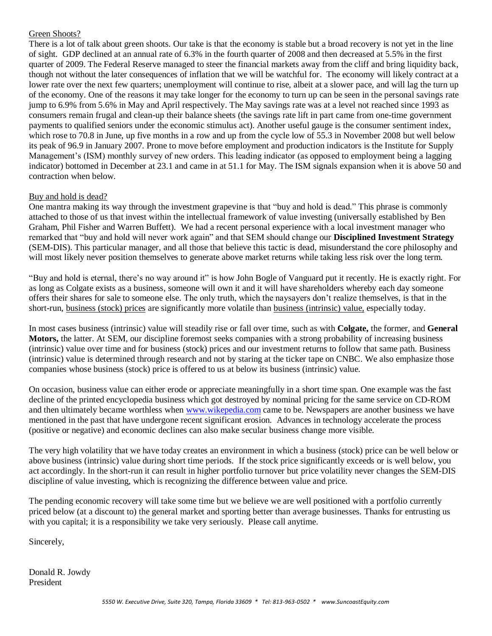#### Green Shoots?

There is a lot of talk about green shoots. Our take is that the economy is stable but a broad recovery is not yet in the line of sight. GDP declined at an annual rate of 6.3% in the fourth quarter of 2008 and then decreased at 5.5% in the first quarter of 2009. The Federal Reserve managed to steer the financial markets away from the cliff and bring liquidity back, though not without the later consequences of inflation that we will be watchful for. The economy will likely contract at a lower rate over the next few quarters; unemployment will continue to rise, albeit at a slower pace, and will lag the turn up of the economy. One of the reasons it may take longer for the economy to turn up can be seen in the personal savings rate jump to 6.9% from 5.6% in May and April respectively. The May savings rate was at a level not reached since 1993 as consumers remain frugal and clean-up their balance sheets (the savings rate lift in part came from one-time government payments to qualified seniors under the economic stimulus act). Another useful gauge is the consumer sentiment index, which rose to 70.8 in June, up five months in a row and up from the cycle low of 55.3 in November 2008 but well below its peak of 96.9 in January 2007. Prone to move before employment and production indicators is the Institute for Supply Management's (ISM) monthly survey of new orders. This leading indicator (as opposed to employment being a lagging indicator) bottomed in December at 23.1 and came in at 51.1 for May. The ISM signals expansion when it is above 50 and contraction when below.

### Buy and hold is dead?

One mantra making its way through the investment grapevine is that "buy and hold is dead." This phrase is commonly attached to those of us that invest within the intellectual framework of value investing (universally established by Ben Graham, Phil Fisher and Warren Buffett). We had a recent personal experience with a local investment manager who remarked that "buy and hold will never work again" and that SEM should change our **Disciplined Investment Strategy** (SEM-DIS). This particular manager, and all those that believe this tactic is dead, misunderstand the core philosophy and will most likely never position themselves to generate above market returns while taking less risk over the long term.

"Buy and hold is eternal, there's no way around it" is how John Bogle of Vanguard put it recently. He is exactly right. For as long as Colgate exists as a business, someone will own it and it will have shareholders whereby each day someone offers their shares for sale to someone else. The only truth, which the naysayers don't realize themselves, is that in the short-run, business (stock) prices are significantly more volatile than business (intrinsic) value, especially today.

In most cases business (intrinsic) value will steadily rise or fall over time, such as with **Colgate,** the former, and **General Motors,** the latter. At SEM, our discipline foremost seeks companies with a strong probability of increasing business (intrinsic) value over time and for business (stock) prices and our investment returns to follow that same path. Business (intrinsic) value is determined through research and not by staring at the ticker tape on CNBC. We also emphasize those companies whose business (stock) price is offered to us at below its business (intrinsic) value.

On occasion, business value can either erode or appreciate meaningfully in a short time span. One example was the fast decline of the printed encyclopedia business which got destroyed by nominal pricing for the same service on CD-ROM and then ultimately became worthless when [www.wikepedia.com](http://www.wikepedia.com/) came to be. Newspapers are another business we have mentioned in the past that have undergone recent significant erosion. Advances in technology accelerate the process (positive or negative) and economic declines can also make secular business change more visible.

The very high volatility that we have today creates an environment in which a business (stock) price can be well below or above business (intrinsic) value during short time periods. If the stock price significantly exceeds or is well below, you act accordingly. In the short-run it can result in higher portfolio turnover but price volatility never changes the SEM-DIS discipline of value investing, which is recognizing the difference between value and price.

The pending economic recovery will take some time but we believe we are well positioned with a portfolio currently priced below (at a discount to) the general market and sporting better than average businesses. Thanks for entrusting us with you capital; it is a responsibility we take very seriously. Please call anytime.

Sincerely,

Donald R. Jowdy President